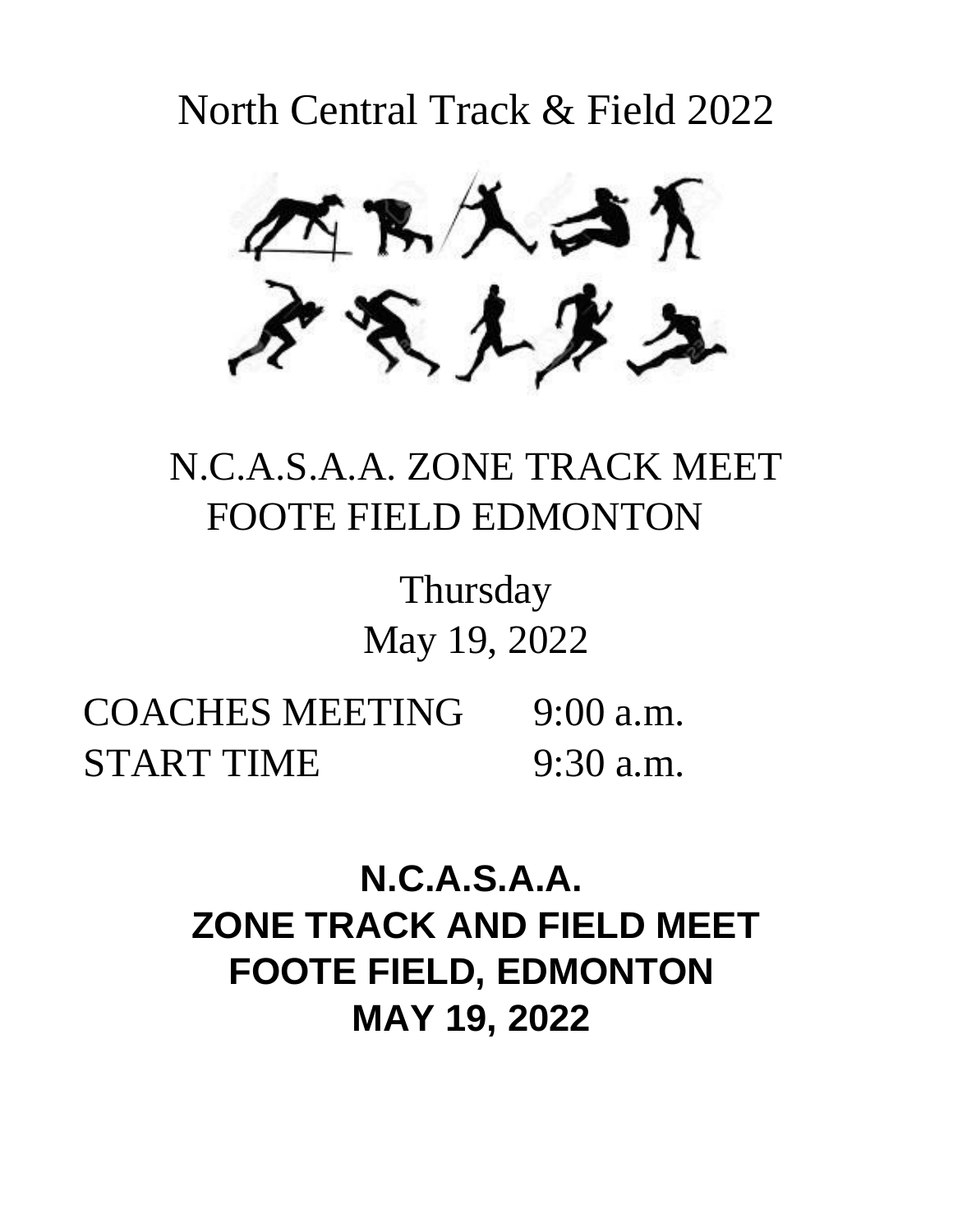North Central Track & Field 2022



# N.C.A.S.A.A. ZONE TRACK MEET FOOTE FIELD EDMONTON

Thursday May 19, 2022

COACHES MEETING 9:00 a.m. START TIME 9:30 a.m.

> **N.C.A.S.A.A. ZONE TRACK AND FIELD MEET FOOTE FIELD, EDMONTON MAY 19, 2022**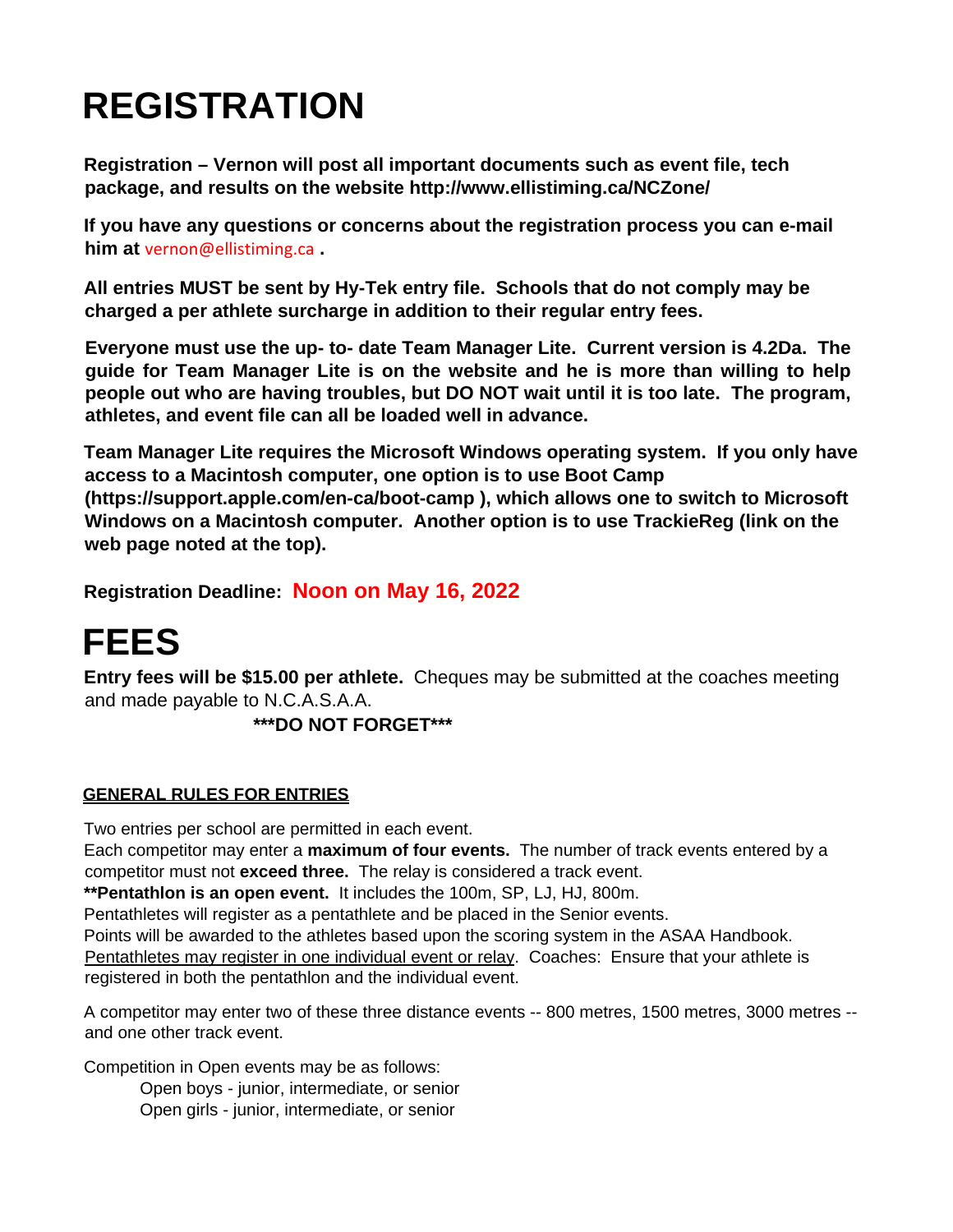# **REGISTRATION**

**Registration – Vernon will post all important documents such as event file, tech package, and results on the website http://www.ellistiming.ca/NCZone/** 

**If you have any questions or concerns about the registration process you can e-mail him at** vernon@ellistiming.ca **.** 

**All entries MUST be sent by Hy-Tek entry file. Schools that do not comply may be charged a per athlete surcharge in addition to their regular entry fees.** 

**Everyone must use the up- to- date Team Manager Lite. Current version is 4.2Da. The guide for Team Manager Lite is on the website and he is more than willing to help people out who are having troubles, but DO NOT wait until it is too late. The program, athletes, and event file can all be loaded well in advance.** 

**Team Manager Lite requires the Microsoft Windows operating system. If you only have access to a Macintosh computer, one option is to use Boot Camp (https://support.apple.com/en-ca/boot-camp ), which allows one to switch to Microsoft Windows on a Macintosh computer. Another option is to use TrackieReg (link on the web page noted at the top).**

**Registration Deadline: Noon on May 16, 2022**

**FEES**<br>Entry fees will be \$15.00 per athlete. Cheques may be submitted at the coaches meeting and made payable to N.C.A.S.A.A.

 **\*\*\*DO NOT FORGET\*\*\*** 

### **GENERAL RULES FOR ENTRIES**

Two entries per school are permitted in each event.

Each competitor may enter a **maximum of four events.** The number of track events entered by a competitor must not **exceed three.** The relay is considered a track event.

**\*\*Pentathlon is an open event.** It includes the 100m, SP, LJ, HJ, 800m.

Pentathletes will register as a pentathlete and be placed in the Senior events.

Points will be awarded to the athletes based upon the scoring system in the ASAA Handbook. Pentathletes may register in one individual event or relay. Coaches: Ensure that your athlete is registered in both the pentathlon and the individual event.

A competitor may enter two of these three distance events -- 800 metres, 1500 metres, 3000 metres - and one other track event.

Competition in Open events may be as follows:

Open boys - junior, intermediate, or senior Open girls - junior, intermediate, or senior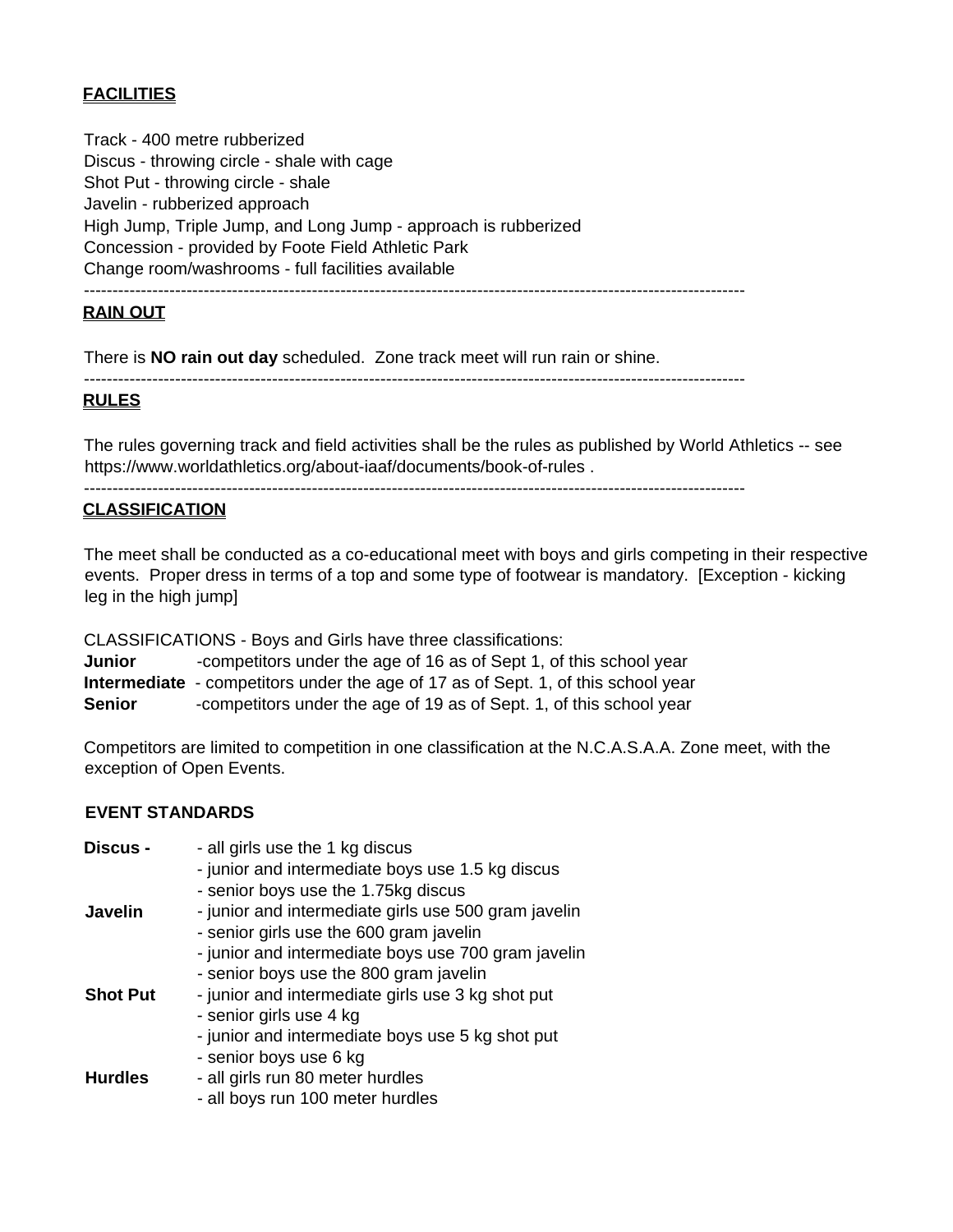### **FACILITIES**

Track - 400 metre rubberized Discus - throwing circle - shale with cage Shot Put - throwing circle - shale Javelin - rubberized approach High Jump, Triple Jump, and Long Jump - approach is rubberized Concession - provided by Foote Field Athletic Park Change room/washrooms - full facilities available --------------------------------------------------------------------------------------------------------------------

### **RAIN OUT**

There is **NO rain out day** scheduled. Zone track meet will run rain or shine.

--------------------------------------------------------------------------------------------------------------------

#### **RULES**

The rules governing track and field activities shall be the rules as published by World Athletics -- see https://www.worldathletics.org/about-iaaf/documents/book-of-rules .

--------------------------------------------------------------------------------------------------------------------

#### **CLASSIFICATION**

The meet shall be conducted as a co-educational meet with boys and girls competing in their respective events. Proper dress in terms of a top and some type of footwear is mandatory. [Exception - kicking leg in the high jump]

CLASSIFICATIONS - Boys and Girls have three classifications:

**Junior -competitors under the age of 16 as of Sept 1, of this school year Intermediate** - competitors under the age of 17 as of Sept. 1, of this school year **Senior** -competitors under the age of 19 as of Sept. 1, of this school year

Competitors are limited to competition in one classification at the N.C.A.S.A.A. Zone meet, with the exception of Open Events.

#### **EVENT STANDARDS**

| <b>Discus -</b> | - all girls use the 1 kg discus                      |
|-----------------|------------------------------------------------------|
|                 | - junior and intermediate boys use 1.5 kg discus     |
|                 | - senior boys use the 1.75kg discus                  |
| Javelin         | - junior and intermediate girls use 500 gram javelin |
|                 | - senior girls use the 600 gram javelin              |
|                 | - junior and intermediate boys use 700 gram javelin  |
|                 | - senior boys use the 800 gram javelin               |
| <b>Shot Put</b> | - junior and intermediate girls use 3 kg shot put    |
|                 | - senior girls use 4 kg                              |
|                 | - junior and intermediate boys use 5 kg shot put     |
|                 | - senior boys use 6 kg                               |
| <b>Hurdles</b>  | - all girls run 80 meter hurdles                     |
|                 | - all boys run 100 meter hurdles                     |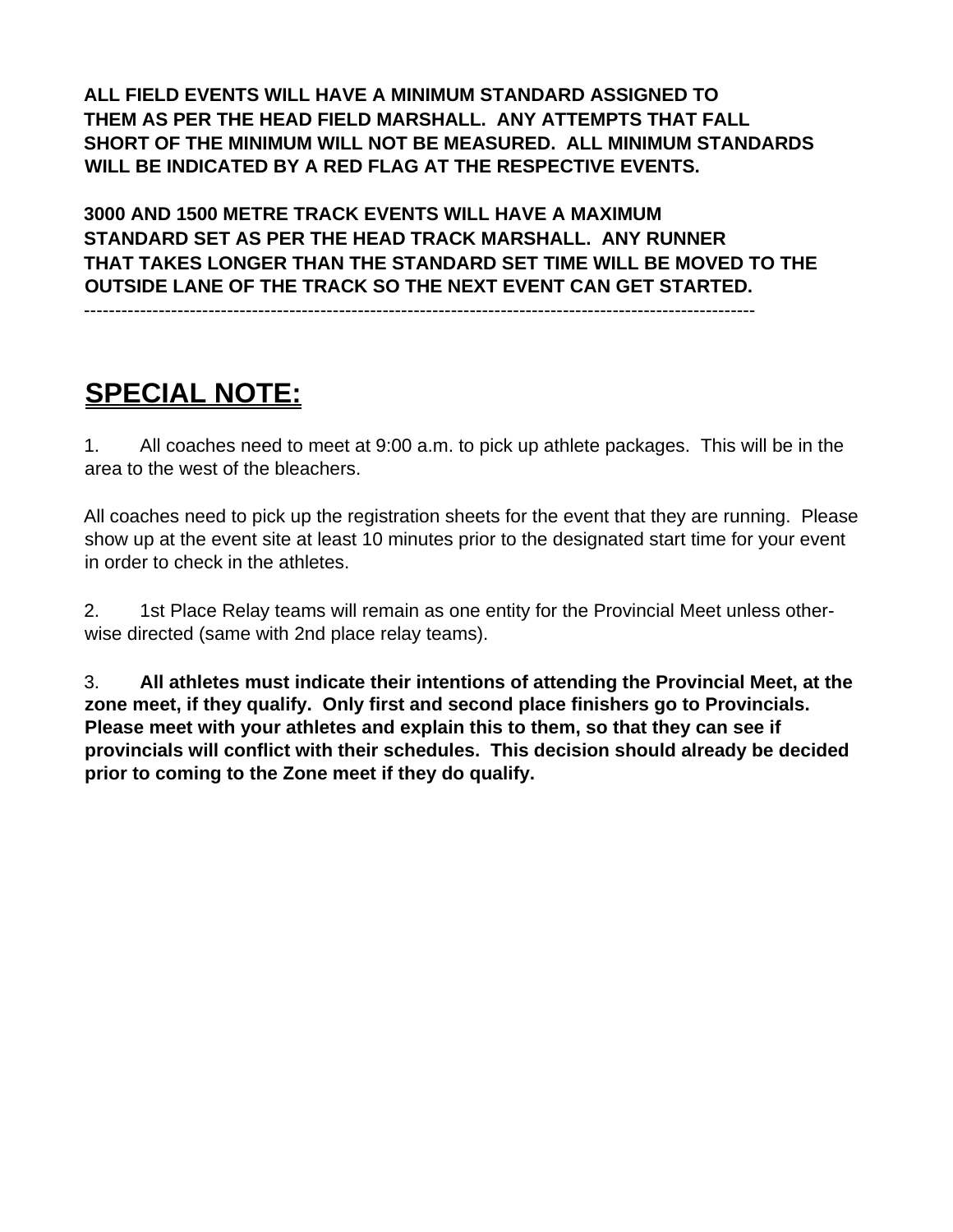**ALL FIELD EVENTS WILL HAVE A MINIMUM STANDARD ASSIGNED TO THEM AS PER THE HEAD FIELD MARSHALL. ANY ATTEMPTS THAT FALL SHORT OF THE MINIMUM WILL NOT BE MEASURED. ALL MINIMUM STANDARDS WILL BE INDICATED BY A RED FLAG AT THE RESPECTIVE EVENTS.** 

**3000 AND 1500 METRE TRACK EVENTS WILL HAVE A MAXIMUM STANDARD SET AS PER THE HEAD TRACK MARSHALL. ANY RUNNER THAT TAKES LONGER THAN THE STANDARD SET TIME WILL BE MOVED TO THE OUTSIDE LANE OF THE TRACK SO THE NEXT EVENT CAN GET STARTED.** 

------------------------------------------------------------------------------------------------------------

## **SPECIAL NOTE:**

1. All coaches need to meet at 9:00 a.m. to pick up athlete packages. This will be in the area to the west of the bleachers.

All coaches need to pick up the registration sheets for the event that they are running. Please show up at the event site at least 10 minutes prior to the designated start time for your event in order to check in the athletes.

2. 1st Place Relay teams will remain as one entity for the Provincial Meet unless otherwise directed (same with 2nd place relay teams).

3. **All athletes must indicate their intentions of attending the Provincial Meet, at the zone meet, if they qualify. Only first and second place finishers go to Provincials. Please meet with your athletes and explain this to them, so that they can see if provincials will conflict with their schedules. This decision should already be decided prior to coming to the Zone meet if they do qualify.**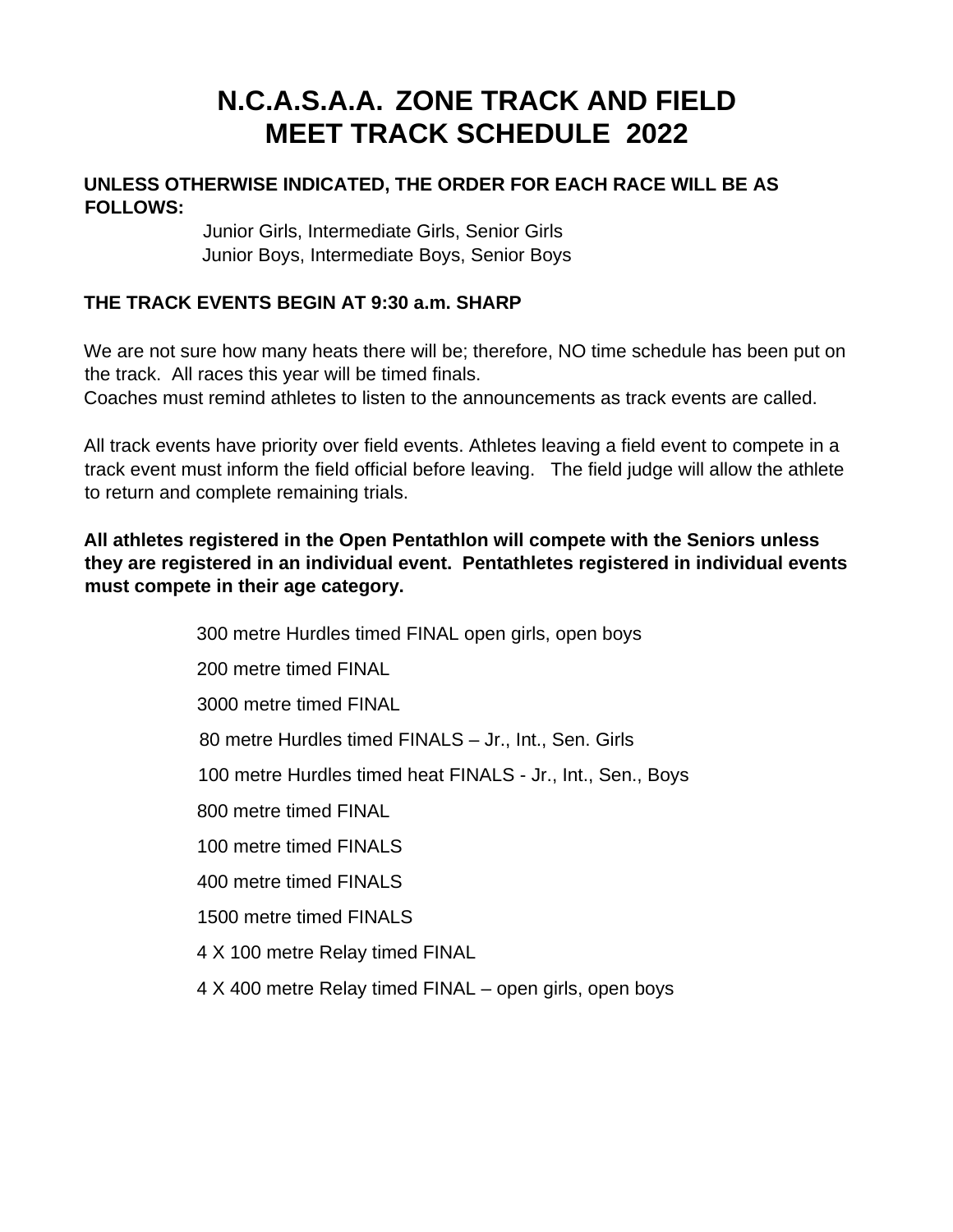### **N.C.A.S.A.A. ZONE TRACK AND FIELD MEET TRACK SCHEDULE 2022**

### **UNLESS OTHERWISE INDICATED, THE ORDER FOR EACH RACE WILL BE AS FOLLOWS:**

 Junior Girls, Intermediate Girls, Senior Girls Junior Boys, Intermediate Boys, Senior Boys

### **THE TRACK EVENTS BEGIN AT 9:30 a.m. SHARP**

We are not sure how many heats there will be; therefore, NO time schedule has been put on the track. All races this year will be timed finals.

Coaches must remind athletes to listen to the announcements as track events are called.

All track events have priority over field events. Athletes leaving a field event to compete in a track event must inform the field official before leaving. The field judge will allow the athlete to return and complete remaining trials.

### **All athletes registered in the Open Pentathlon will compete with the Seniors unless they are registered in an individual event. Pentathletes registered in individual events must compete in their age category.**

 300 metre Hurdles timed FINAL open girls, open boys 200 metre timed FINAL 3000 metre timed FINAL 80 metre Hurdles timed FINALS – Jr., Int., Sen. Girls 100 metre Hurdles timed heat FINALS - Jr., Int., Sen., Boys 800 metre timed FINAL 100 metre timed FINALS 400 metre timed FINALS 1500 metre timed FINALS 4 X 100 metre Relay timed FINAL 4 X 400 metre Relay timed FINAL – open girls, open boys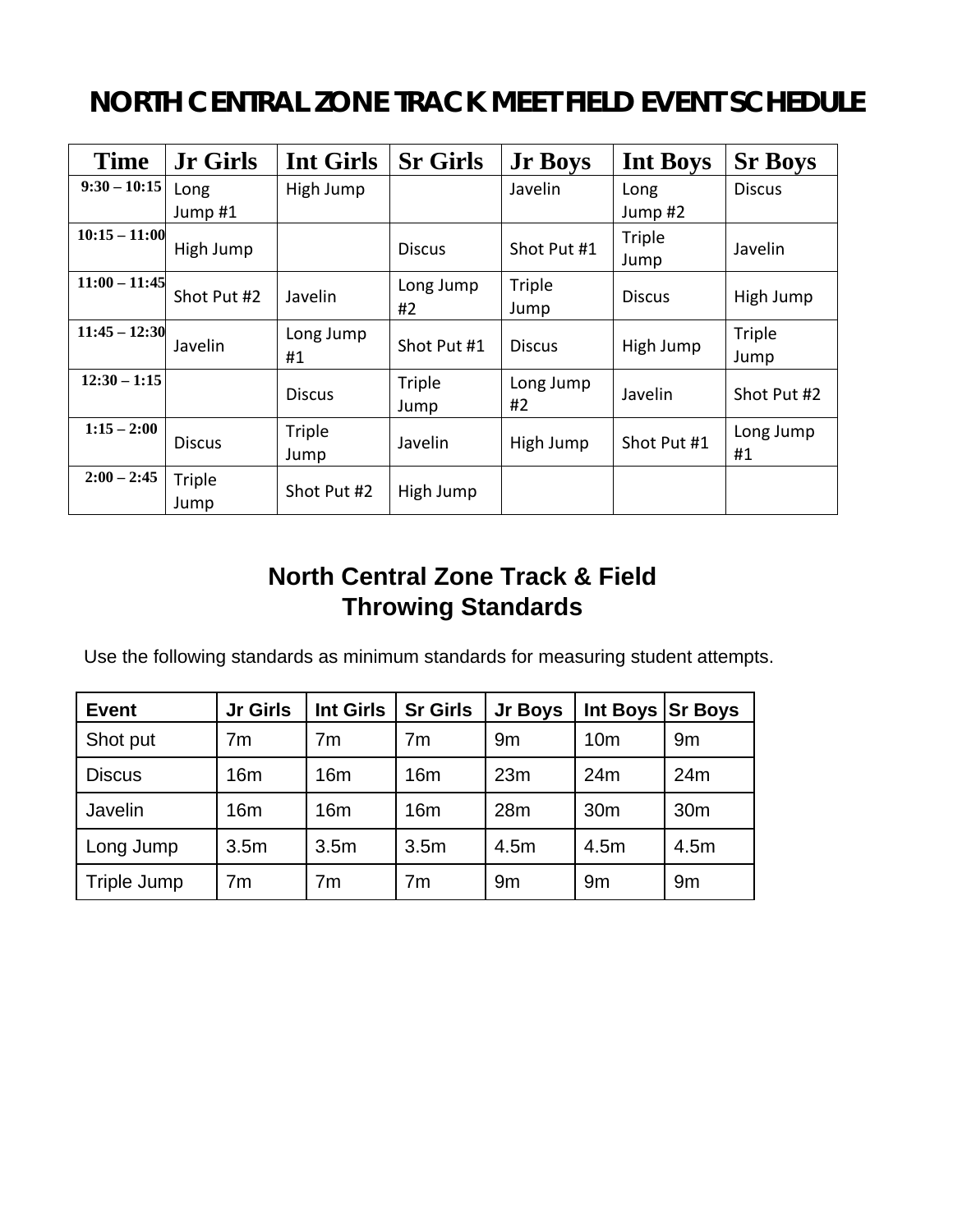### **NORTH CENTRAL ZONE TRACK MEET FIELD EVENT SCHEDULE**

| <b>Time</b>     | <b>Jr Girls</b> | <b>Int Girls</b> | <b>Sr Girls</b> | <b>Jr Boys</b>  | <b>Int Boys</b> | <b>Sr Boys</b>  |
|-----------------|-----------------|------------------|-----------------|-----------------|-----------------|-----------------|
| $9:30 - 10:15$  | Long<br>Jump #1 | High Jump        |                 | Javelin         | Long<br>Jump#2  | <b>Discus</b>   |
| $10:15 - 11:00$ | High Jump       |                  | <b>Discus</b>   | Shot Put #1     | Triple<br>Jump  | Javelin         |
| $11:00 - 11:45$ | Shot Put #2     | Javelin          | Long Jump<br>#2 | Triple<br>Jump  | <b>Discus</b>   | High Jump       |
| $11:45 - 12:30$ | Javelin         | Long Jump<br>#1  | Shot Put #1     | <b>Discus</b>   | High Jump       | Triple<br>Jump  |
| $12:30 - 1:15$  |                 | <b>Discus</b>    | Triple<br>Jump  | Long Jump<br>#2 | Javelin         | Shot Put #2     |
| $1:15 - 2:00$   | <b>Discus</b>   | Triple<br>Jump   | Javelin         | High Jump       | Shot Put #1     | Long Jump<br>#1 |
| $2:00 - 2:45$   | Triple<br>Jump  | Shot Put #2      | High Jump       |                 |                 |                 |

### **North Central Zone Track & Field Throwing Standards**

Use the following standards as minimum standards for measuring student attempts.

| <b>Event</b>  | <b>Jr Girls</b>  | <b>Int Girls</b> | <b>Sr Girls</b>  | Jr Boys | Int Boys Sr Boys |                 |
|---------------|------------------|------------------|------------------|---------|------------------|-----------------|
| Shot put      | 7 <sub>m</sub>   | 7 <sub>m</sub>   | 7 <sub>m</sub>   | 9m      | 10 <sub>m</sub>  | 9m              |
| <b>Discus</b> | 16m              | 16m              | 16 <sub>m</sub>  | 23m     | 24m              | 24m             |
| Javelin       | 16m              | 16 <sub>m</sub>  | 16 <sub>m</sub>  | 28m     | 30 <sub>m</sub>  | 30 <sub>m</sub> |
| Long Jump     | 3.5 <sub>m</sub> | 3.5 <sub>m</sub> | 3.5 <sub>m</sub> | 4.5m    | 4.5m             | 4.5m            |
| Triple Jump   | 7 <sub>m</sub>   | 7m               | 7 <sub>m</sub>   | 9m      | 9m               | 9m              |